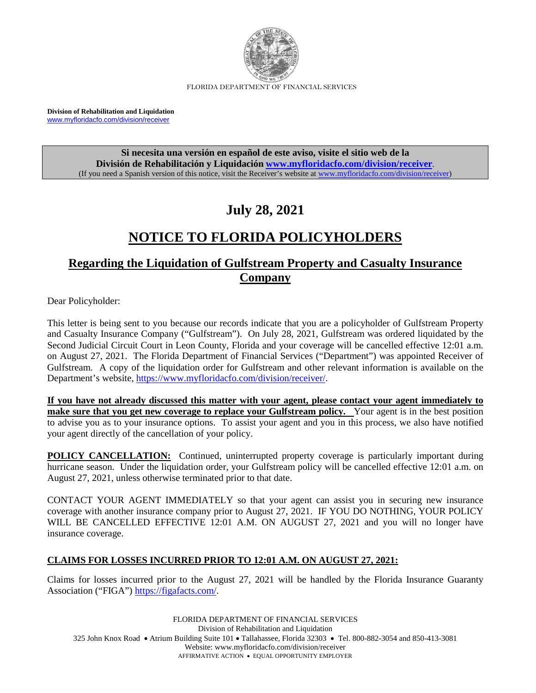

FLORIDA DEPARTMENT OF FINANCIAL SERVICES

**Division of Rehabilitation and Liquidation** [www.myfloridacfo.com/division/receiver](http://www.myfloridacfo.com/division/receiver)

> **Si necesita una versión en español de este aviso, visite el sitio web de la División de Rehabilitación y Liquidación [www.myfloridacfo.com/division/receiver](http://www.myfloridacfo.com/division/receiver)**. (If you need a Spanish version of this notice, visit the Receiver's website a[t www.myfloridacfo.com/division/receiver\)](http://www.myfloridacfo.com/division/receiver)

# **July 28, 2021**

# **NOTICE TO FLORIDA POLICYHOLDERS**

## **Regarding the Liquidation of Gulfstream Property and Casualty Insurance Company**

Dear Policyholder:

This letter is being sent to you because our records indicate that you are a policyholder of Gulfstream Property and Casualty Insurance Company ("Gulfstream"). On July 28, 2021, Gulfstream was ordered liquidated by the Second Judicial Circuit Court in Leon County, Florida and your coverage will be cancelled effective 12:01 a.m. on August 27, 2021. The Florida Department of Financial Services ("Department") was appointed Receiver of Gulfstream. A copy of the liquidation order for Gulfstream and other relevant information is available on the Department's website[, https://www.myfloridacfo.com/division/receiver/.](https://www.myfloridacfo.com/division/receiver/)

**If you have not already discussed this matter with your agent, please contact your agent immediately to make sure that you get new coverage to replace your Gulfstream policy.** Your agent is in the best position to advise you as to your insurance options. To assist your agent and you in this process, we also have notified your agent directly of the cancellation of your policy.

**POLICY CANCELLATION:** Continued, uninterrupted property coverage is particularly important during hurricane season. Under the liquidation order, your Gulfstream policy will be cancelled effective 12:01 a.m. on August 27, 2021, unless otherwise terminated prior to that date.

CONTACT YOUR AGENT IMMEDIATELY so that your agent can assist you in securing new insurance coverage with another insurance company prior to August 27, 2021. IF YOU DO NOTHING, YOUR POLICY WILL BE CANCELLED EFFECTIVE 12:01 A.M. ON AUGUST 27, 2021 and you will no longer have insurance coverage.

### **CLAIMS FOR LOSSES INCURRED PRIOR TO 12:01 A.M. ON AUGUST 27, 2021:**

Claims for losses incurred prior to the August 27, 2021 will be handled by the Florida Insurance Guaranty Association ("FIGA") [https://figafacts.com/.](https://figafacts.com/)

FLORIDA DEPARTMENT OF FINANCIAL SERVICES Division of Rehabilitation and Liquidation 325 John Knox Road • Atrium Building Suite 101 • Tallahassee, Florida 32303 • Tel. 800-882-3054 and 850-413-3081 Website: www.myfloridacfo.com/division/receiver AFFIRMATIVE ACTION • EQUAL OPPORTUNITY EMPLOYER